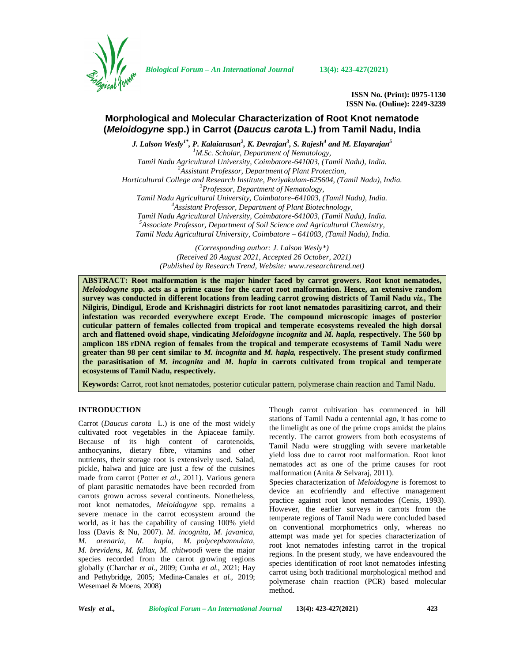

*Biological Forum – An International Journal* **13(4): 423-427(2021)**

**ISSN No. (Print): 0975-1130 ISSN No. (Online): 2249-3239**

# **Morphological and Molecular Characterization of Root Knot nematode (***Meloidogyne* **spp.) in Carrot (***Daucus carota* **L.) from Tamil Nadu, India**

*J. Lalson Wesly1\* , P. Kalaiarasan<sup>2</sup> , K. Devrajan 3 , S. Rajesh<sup>4</sup> and M. Elayarajan 5 <sup>1</sup>M.Sc. Scholar, Department of Nematology, Tamil Nadu Agricultural University, Coimbatore-641003, (Tamil Nadu), India. <sup>2</sup>Assistant Professor, Department of Plant Protection, Horticultural College and Research Institute, Periyakulam-625604, (Tamil Nadu), India. <sup>3</sup>Professor, Department of Nematology, Tamil Nadu Agricultural University, Coimbatore–641003, (Tamil Nadu), India. <sup>4</sup>Assistant Professor, Department of Plant Biotechnology, Tamil Nadu Agricultural University, Coimbatore-641003, (Tamil Nadu), India. <sup>5</sup>Associate Professor, Department of Soil Science and Agricultural Chemistry, Tamil Nadu Agricultural University, Coimbatore – 641003, (Tamil Nadu), India.*

> *(Corresponding author: J. Lalson Wesly\*) (Received 20 August 2021, Accepted 26 October, 2021) (Published by Research Trend, Website: [www.researchtrend.net\)](www.researchtrend.net)*

**ABSTRACT: Root malformation is the major hinder faced by carrot growers. Root knot nematodes,** *Meloiodogyne* **spp. acts as a prime cause for the carrot root malformation. Hence, an extensive random survey was conducted in different locations from leading carrot growing districts of Tamil Nadu** *viz.,* **The Nilgiris, Dindigul, Erode and Krishnagiri districts for root knot nematodes parasitizing carrot, and their infestation was recorded everywhere except Erode. The compound microscopic images of posterior cuticular pattern of females collected from tropical and temperate ecosystems revealed the high dorsal arch and flattened ovoid shape, vindicating** *Meloidogyne incognita* **and** *M. hapla,* **respectively. The 560 bp amplicon 18S rDNA region of females from the tropical and temperate ecosystems of Tamil Nadu were greater than 98 per cent similar to** *M. incognita* **and** *M. hapla,* **respectively. The present study confirmed the parasitisation of** *M. incognita* **and** *M. hapla* **in carrots cultivated from tropical and temperate ecosystems of Tamil Nadu, respectively.**

**Keywords:** Carrot, root knot nematodes, posterior cuticular pattern, polymerase chain reaction and Tamil Nadu.

# **INTRODUCTION**

Carrot (*Daucus carota* L.) is one of the most widely cultivated root vegetables in the Apiaceae family. Because of its high content of carotenoids, anthocyanins, dietary fibre, vitamins and other  $\frac{16}{10}$ nutrients, their storage root is extensively used. Salad, pickle, halwa and juice are just a few of the cuisines made from carrot (Potter *et al*., 2011). Various genera of plant parasitic nematodes have been recorded from carrots grown across several continents. Nonetheless, root knot nematodes, *Meloidogyne* spp. remains a severe menace in the carrot ecosystem around the world, as it has the capability of causing 100% yield loss (Davis & Nu, 2007). *M. incognita, M. javanica, M. arenaria, M. hapla, M. polycephannulata, M. brevidens, M. fallax, M. chitwoodi* were the major species recorded from the carrot growing regions globally (Charchar *et al*., 2009; Cunha *et al.*, 2021; Hay and Pethybridge, 2005; Medina-Canales *et al.,* 2019; Wesemael & Moens, 2008)

Though carrot cultivation has commenced in hill stations of Tamil Nadu a centennial ago, it has come to the limelight as one of the prime crops amidst the plains recently. The carrot growers from both ecosystems of Tamil Nadu were struggling with severe marketable yield loss due to carrot root malformation. Root knot nematodes act as one of the prime causes for root malformation (Anita & Selvaraj, 2011).

Species characterization of *Meloidogyne* is foremost to device an ecofriendly and effective management practice against root knot nematodes (Cenis, 1993). However, the earlier surveys in carrots from the temperate regions of Tamil Nadu were concluded based on conventional morphometrics only, whereas no attempt was made yet for species characterization of root knot nematodes infesting carrot in the tropical regions. In the present study, we have endeavoured the species identification of root knot nematodes infesting carrot using both traditional morphological method and polymerase chain reaction (PCR) based molecular method.

*Wesly et al., Biological Forum – An International Journal* **13(4): 423-427(2021) 423**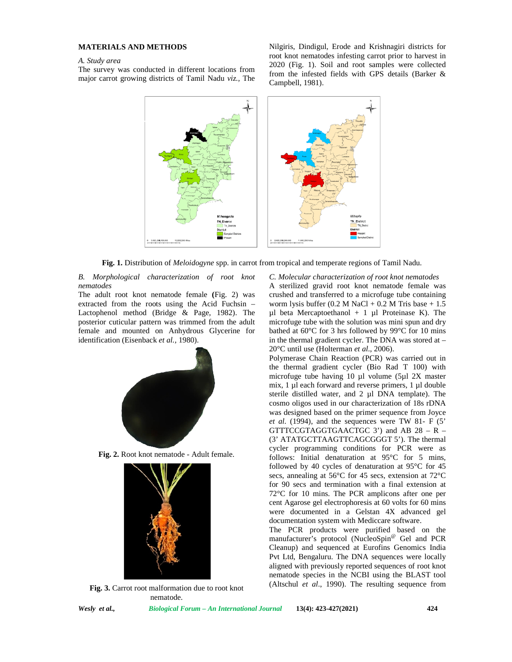# **MATERIALS AND METHODS**

#### *A. Study area*

The survey was conducted in different locations from major carrot growing districts of Tamil Nadu *viz.,* The Nilgiris, Dindigul, Erode and Krishnagiri districts for root knot nematodes infesting carrot prior to harvest in 2020 (Fig. 1). Soil and root samples were collected from the infested fields with GPS details (Barker & Campbell, 1981).



**Fig. 1.** Distribution of *Meloidogyne* spp. in carrot from tropical and temperate regions of Tamil Nadu.

*B. Morphological characterization of root knot nematodes*

The adult root knot nematode female **(**Fig. 2) was extracted from the roots using the Acid Fuchsin – Lactophenol method (Bridge & Page, 1982). The posterior cuticular pattern was trimmed from the adult female and mounted on Anhydrous Glycerine for identification (Eisenback *et al.,* 1980).



**Fig. 2.** Root knot nematode - Adult female.



**Fig. 3.** Carrot root malformation due to root knot nematode.

*C. Molecular characterization of root knot nematodes* A sterilized gravid root knot nematode female was crushed and transferred to a microfuge tube containing worm lysis buffer  $(0.2 M NaCl + 0.2 M Tris base + 1.5)$  $\mu$ l beta Mercaptoethanol + 1  $\mu$ l Proteinase K). The microfuge tube with the solution was mini spun and dry bathed at 60°C for 3 hrs followed by 99°C for 10 mins in the thermal gradient cycler. The DNA was stored at – 20°C until use (Holterman *et al*., 2006).

Polymerase Chain Reaction (PCR) was carried out in the thermal gradient cycler (Bio Rad T 100) with microfuge tube having 10 µl volume (5µl 2X master mix, 1 µl each forward and reverse primers, 1 µl double sterile distilled water, and 2 µl DNA template). The cosmo oligos used in our characterization of 18s rDNA was designed based on the primer sequence from Joyce *et al*. (1994), and the sequences were TW 81- F (5' GTTTCCGTAGGTGAACTGC 3') and AB 28 – R – (3' ATATGCTTAAGTTCAGCGGGT 5'). The thermal cycler programming conditions for PCR were as follows: Initial denaturation at 95°C for 5 mins, followed by 40 cycles of denaturation at 95°C for 45 secs, annealing at 56°C for 45 secs, extension at 72°C for 90 secs and termination with a final extension at 72°C for 10 mins. The PCR amplicons after one per cent Agarose gel electrophoresis at 60 volts for 60 mins were documented in a Gelstan 4X advanced gel documentation system with Mediccare software.

The PCR products were purified based on the manufacturer's protocol (NucleoSpin<sup>@</sup> Gel and PCR Cleanup) and sequenced at Eurofins Genomics India Pvt Ltd, Bengaluru. The DNA sequences were locally aligned with previously reported sequences of root knot nematode species in the NCBI using the BLAST tool (Altschul *et al*., 1990). The resulting sequence from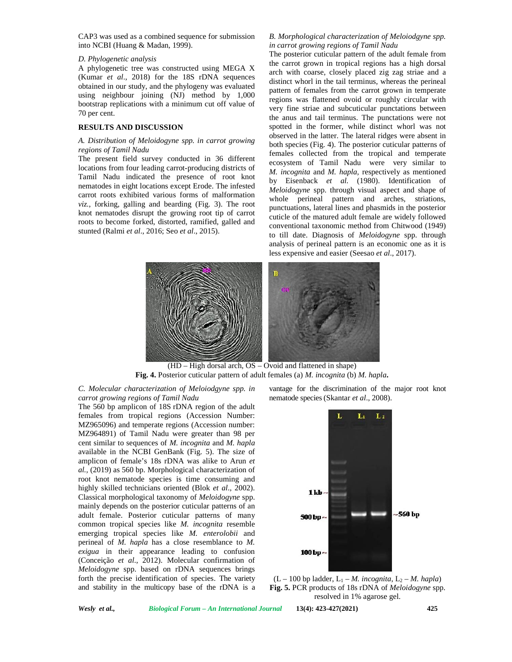CAP3 was used as a combined sequence for submission into NCBI (Huang & Madan, 1999).

### *D. Phylogenetic analysis*

A phylogenetic tree was constructed using MEGA X (Kumar *et al*., 2018) for the 18S rDNA sequences obtained in our study, and the phylogeny was evaluated using neighbour joining (NJ) method by 1,000 bootstrap replications with a minimum cut off value of 70 per cent.

#### **RESULTS AND DISCUSSION**

#### *A. Distribution of Meloidogyne spp. in carrot growing regions of Tamil Nadu*

The present field survey conducted in 36 different locations from four leading carrot-producing districts of Tamil Nadu indicated the presence of root knot nematodes in eight locations except Erode. The infested carrot roots exhibited various forms of malformation *viz.*, forking, galling and bearding (Fig. 3). The root knot nematodes disrupt the growing root tip of carrot roots to become forked, distorted, ramified, galled and stunted (Ralmi *et al*., 2016; Seo *et al*., 2015).

## *B. Morphological characterization of Meloiodgyne spp. in carrot growing regions of Tamil Nadu*

The posterior cuticular pattern of the adult female from the carrot grown in tropical regions has a high dorsal arch with coarse, closely placed zig zag striae and a distinct whorl in the tail terminus, whereas the perineal pattern of females from the carrot grown in temperate regions was flattened ovoid or roughly circular with very fine striae and subcuticular punctations between the anus and tail terminus. The punctations were not spotted in the former, while distinct whorl was not observed in the latter. The lateral ridges were absent in both species (Fig. 4). The posterior cuticular patterns of females collected from the tropical and temperate ecosystem of Tamil Nadu were very similar to *M. incognita* and *M. hapla,* respectively as mentioned by Eisenback *et al.* (1980). Identification of *Meloidogyne* spp. through visual aspect and shape of whole perineal pattern and arches, striations, punctuations, lateral lines and phasmids in the posterior cuticle of the matured adult female are widely followed conventional taxonomic method from Chitwood (1949) to till date. Diagnosis of *Meloidogyne* spp. through analysis of perineal pattern is an economic one as it is less expensive and easier (Seesao *et al*., 2017).



(HD – High dorsal arch, OS – Ovoid and flattened in shape) **Fig. 4.** Posterior cuticular pattern of adult females (a) *M. incognita* (b) *M. hapla***.**

*C. Molecular characterization of Meloiodgyne spp. in carrot growing regions of Tamil Nadu*

The 560 bp amplicon of 18S rDNA region of the adult females from tropical regions (Accession Number: MZ965096) and temperate regions (Accession number: MZ964891) of Tamil Nadu were greater than 98 per cent similar to sequences of *M. incognita* and *M. hapla* available in the NCBI GenBank (Fig. 5). The size of amplicon of female's 18s rDNA was alike to Arun *et al.,* (2019) as 560 bp. Morphological characterization of root knot nematode species is time consuming and highly skilled technicians oriented (Blok *et al*., 2002). Classical morphological taxonomy of *Meloidogyne* spp. mainly depends on the posterior cuticular patterns of an adult female. Posterior cuticular patterns of many common tropical species like *M. incognita* resemble emerging tropical species like *M. enterolobii* and perineal of *M. hapla* has a close resemblance to *M. exigua* in their appearance leading to confusion (Conceição *et al*., 2012). Molecular confirmation of *Meloidogyne* spp. based on rDNA sequences brings forth the precise identification of species. The variety and stability in the multicopy base of the rDNA is a

vantage for the discrimination of the major root knot nematode species (Skantar *et al*., 2008).



 $(L - 100$  bp ladder,  $L_1 - M$ . *incognita*,  $L_2 - M$ . *hapla*) **Fig. 5.** PCR products of 18s rDNA of *Meloidogyne* spp. resolved in 1% agarose gel.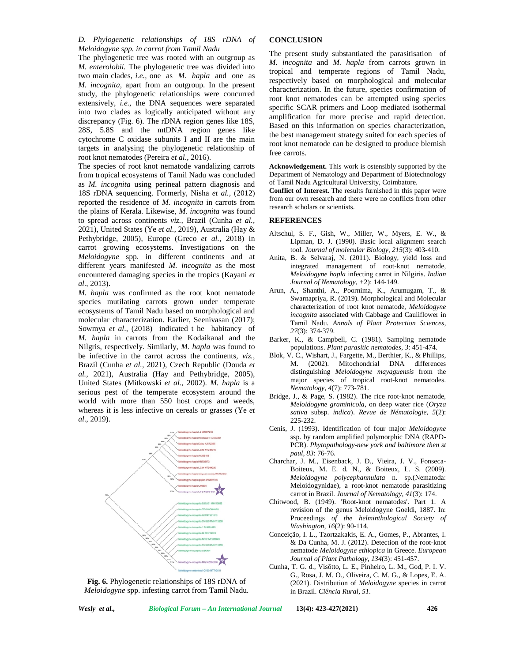The phylogenetic tree was rooted with an outgroup as *M. enterolobii.* The phylogenetic tree was divided into two main clades, *i.e.,* one as *M. hapla* and one as *M. incognita,* apart from an outgroup. In the present study, the phylogenetic relationships were concurred extensively, *i.e.,* the DNA sequences were separated into two clades as logically anticipated without any discrepancy (Fig. 6). The rDNA region genes like 18S, 28S, 5.8S and the mtDNA region genes like cytochrome C oxidase subunits I and II are the main targets in analysing the phylogenetic relationship of root knot nematodes (Pereira *et al*., 2016).

The species of root knot nematode vandalizing carrots from tropical ecosystems of Tamil Nadu was concluded as *M. incognita* using perineal pattern diagnosis and 18S rDNA sequencing. Formerly, Nisha *et al.,* (2012) reported the residence of *M. incognita* in carrots from the plains of Kerala. Likewise, *M. incognita* was found to spread across continents *viz.,* Brazil (Cunha *et al.,* 2021), United States (Ye *et al.,* 2019), Australia (Hay & Pethybridge, 2005), Europe (Greco *et al.,* 2018) in carrot growing ecosystems. Investigations on the *Meloidogyne* spp. in different continents and at different years manifested *M. incognita* as the most encountered damaging species in the tropics (Kayani *et al*., 2013).

*M. hapla* was confirmed as the root knot nematode species mutilating carrots grown under temperate ecosystems of Tamil Nadu based on morphological and molecular characterization. Earlier, Seenivasan (2017); Sowmya *et al*., (2018) indicated t he habitancy of *M. hapla* in carrots from the Kodaikanal and the Nilgris, respectively. Similarly, *M. hapla* was found to be infective in the carrot across the continents, *viz.,* Brazil (Cunha *et al.,* 2021), Czech Republic (Douda *et al.,* 2021), Australia (Hay and Pethybridge, 2005), United States (Mitkowski *et al.*, 2002). *M. hapla* is a serious pest of the temperate ecosystem around the world with more than 550 host crops and weeds, whereas it is less infective on cereals or grasses (Ye *et al*., 2019).



**Fig. 6.** Phylogenetic relationships of 18S rDNA of *Meloidogyne* spp. infesting carrot from Tamil Nadu.

#### **CONCLUSION**

The present study substantiated the parasitisation of *M. incognita* and *M. hapla* from carrots grown in tropical and temperate regions of Tamil Nadu, respectively based on morphological and molecular characterization. In the future, species confirmation of root knot nematodes can be attempted using species specific SCAR primers and Loop mediated isothermal amplification for more precise and rapid detection. Based on this information on species characterization, the best management strategy suited for each species of root knot nematode can be designed to produce blemish free carrots.

**Acknowledgement.** This work is ostensibly supported by the Department of Nematology and Department of Biotechnology of Tamil Nadu Agricultural University, Coimbatore.

**Conflict of Interest.** The results furnished in this paper were from our own research and there were no conflicts from other research scholars or scientists.

# **REFERENCES**

- Altschul, S. F., Gish, W., Miller, W., Myers, E. W., & Lipman, D. J. (1990). Basic local alignment search tool. *Journal of molecular Biology*, *215*(3): 403-410.
- Anita, B. & Selvaraj, N. (2011). Biology, yield loss and integrated management of root-knot nematode, *Meloidogyne hapla* infecting carrot in Nilgiris. *Indian Journal of Nematology, +*2): 144-149.
- Arun, A., Shanthi, A., Poornima, K., Arumugam, T., & Swarnapriya, R. (2019). Morphological and Molecular characterization of root knot nematode, *Meloidogyne incognita* associated with Cabbage and Cauliflower in Tamil Nadu. *Annals of Plant Protection Sciences*, *27*(3): 374-379.
- Barker, K., & Campbell, C. (1981). Sampling nematode populations. *Plant parasitic nematodes, 3*: 451-474.
- Blok, V. C., Wishart, J., Fargette, M., Berthier, K., & Phillips, M. (2002). Mitochondrial DNA differences distinguishing *Meloidogyne mayaguensis* from the major species of tropical root-knot nematodes. *Nematology*, *4*(7): 773-781.
- Bridge, J., & Page, S. (1982). The rice root-knot nematode, *Meloidogyne graminicola*, on deep water rice (*Oryza sativa* subsp. *indica*). *Revue de Nématologie*, *5*(2): 225-232.
- Cenis, J. (1993). Identification of four major *Meloidogyne* ssp. by random amplified polymorphic DNA (RAPD- PCR). *Phytopathology-new york and baltimore then st paul*, *83*: 76-76.
- Charchar, J. M., Eisenback, J. D., Vieira, J. V., Fonseca- Boiteux, M. E. d. N., & Boiteux, L. S. (2009). *Meloidogyne polycephannulata* n. sp.(Nematoda: Meloidogynidae), a root-knot nematode parasitizing carrot in Brazil. *Journal of Nematology*, *41*(3): 174.
- Chitwood, B. (1949). 'Root-knot nematodes'. Part 1. A revision of the genus Meloidogyne Goeldi, 1887. In: Proceedings *of the helminthological Society of Washington*, *16*(2): 90-114.
- Conceição, I. L., Tzortzakakis, E. A., Gomes, P., Abrantes, I. & Da Cunha, M. J. (2012). Detection of the root-knot nematode *Meloidogyne ethiopica* in Greece. *European Journal of Plant Pathology, 134*(3): 451-457.
- Cunha, T. G. d., Visôtto, L. E., Pinheiro, L. M., God, P. I. V. G., Rosa, J. M. O., Oliveira, C. M. G., & Lopes, E. A. (2021). Distribution of *Meloidogyne* species in carrot in Brazil. *Ciência Rural*, *51*.

*Wesly et al., Biological Forum – An International Journal* **13(4): 423-427(2021) 426**